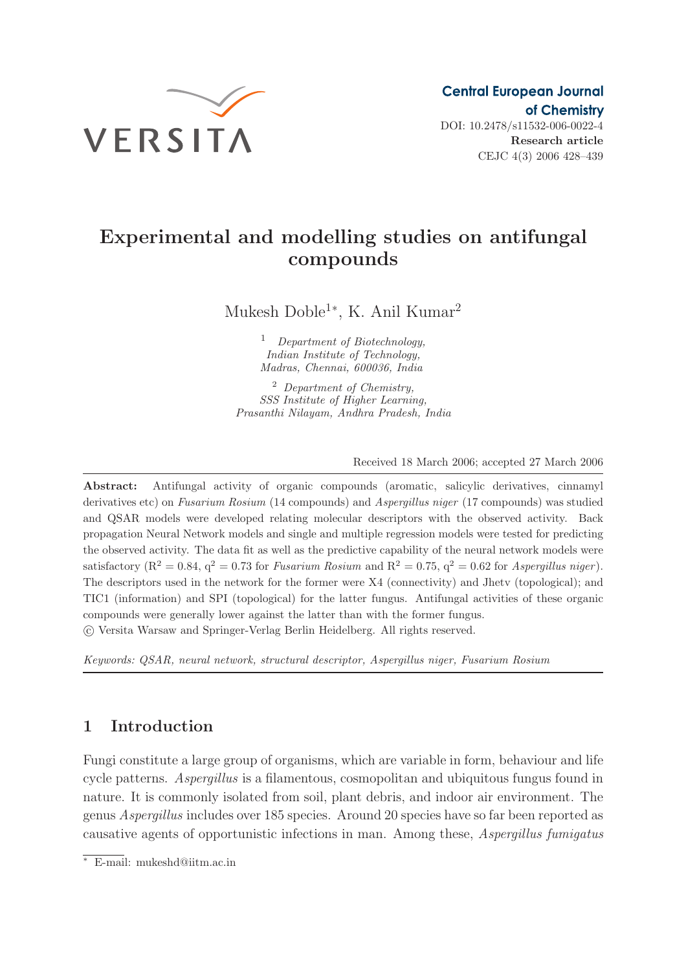

Research article CEJC 4(3) 2006 428–439

# Experimental and modelling studies on antifungal compounds

Mukesh Doble<sup>1</sup><sup>∗</sup> , K. Anil Kumar<sup>2</sup>

<sup>1</sup> Department of Biotechnology, Indian Institute of Technology, Madras, Chennai, 600036, India

<sup>2</sup> Department of Chemistry, SSS Institute of Higher Learning, Prasanthi Nilayam, Andhra Pradesh, India

Received 18 March 2006; accepted 27 March 2006

Abstract: Antifungal activity of organic compounds (aromatic, salicylic derivatives, cinnamyl derivatives etc) on Fusarium Rosium (14 compounds) and Aspergillus niger (17 compounds) was studied and QSAR models were developed relating molecular descriptors with the observed activity. Back propagation Neural Network models and single and multiple regression models were tested for predicting the observed activity. The data fit as well as the predictive capability of the neural network models were satisfactory ( $R^2 = 0.84$ ,  $q^2 = 0.73$  for Fusarium Rosium and  $R^2 = 0.75$ ,  $q^2 = 0.62$  for Aspergillus niger). The descriptors used in the network for the former were X4 (connectivity) and Jhetv (topological); and TIC1 (information) and SPI (topological) for the latter fungus. Antifungal activities of these organic compounds were generally lower against the latter than with the former fungus. c Versita Warsaw and Springer-Verlag Berlin Heidelberg. All rights reserved.

Keywords: QSAR, neural network, structural descriptor, Aspergillus niger, Fusarium Rosium

# 1 Introduction

Fungi constitute a large group of organisms, which are variable in form, behaviour and life cycle patterns. Aspergillus is a filamentous, cosmopolitan and ubiquitous fungus found in nature. It is commonly isolated from soil, plant debris, and indoor air environment. The genus Aspergillus includes over 185 species. Around 20 species have so far been reported as causative agents of opportunistic infections in man. Among these, Aspergillus fumigatus

<sup>∗</sup> E-mail: mukeshd@iitm.ac.in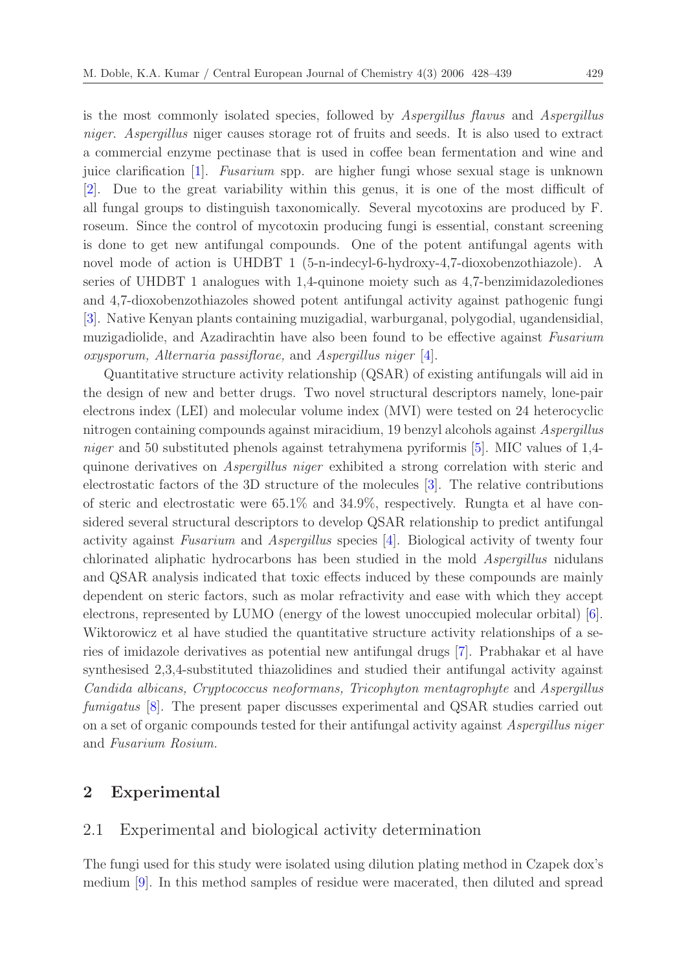is the most commonly isolated species, followed by Aspergillus flavus and Aspergillus niger. Aspergillus niger causes storage rot of fruits and seeds. It is also used to extract a commercial enzyme pectinase that is used in coffee bean fermentation and wine and juice clarification [\[1\]](#page-10-0). Fusarium spp. are higher fungi whose sexual stage is unknown [\[2](#page-10-1)]. Due to the great variability within this genus, it is one of the most difficult of all fungal groups to distinguish taxonomically. Several mycotoxins are produced by F. roseum. Since the control of mycotoxin producing fungi is essential, constant screening is done to get new antifungal compounds. One of the potent antifungal agents with novel mode of action is UHDBT 1 (5-n-indecyl-6-hydroxy-4,7-dioxobenzothiazole). A series of UHDBT 1 analogues with 1,4-quinone moiety such as 4,7-benzimidazolediones and 4,7-dioxobenzothiazoles showed potent antifungal activity against pathogenic fungi [\[3](#page-10-2)]. Native Kenyan plants containing muzigadial, warburganal, polygodial, ugandensidial, muzigadiolide, and Azadirachtin have also been found to be effective against Fusarium oxysporum, Alternaria passiflorae, and Aspergillus niger [\[4\]](#page-10-3).

Quantitative structure activity relationship (QSAR) of existing antifungals will aid in the design of new and better drugs. Two novel structural descriptors namely, lone-pair electrons index (LEI) and molecular volume index (MVI) were tested on 24 heterocyclic nitrogen containing compounds against miracidium, 19 benzyl alcohols against Aspergillus niger and 50 substituted phenols against tetrahymena pyriformis [\[5\]](#page-10-4). MIC values of 1,4quinone derivatives on Aspergillus niger exhibited a strong correlation with steric and electrostatic factors of the 3D structure of the molecules [\[3\]](#page-10-2). The relative contributions of steric and electrostatic were 65.1% and 34.9%, respectively. Rungta et al have considered several structural descriptors to develop QSAR relationship to predict antifungal activity against Fusarium and Aspergillus species [\[4\]](#page-10-3). Biological activity of twenty four chlorinated aliphatic hydrocarbons has been studied in the mold Aspergillus nidulans and QSAR analysis indicated that toxic effects induced by these compounds are mainly dependent on steric factors, such as molar refractivity and ease with which they accept electrons, represented by LUMO (energy of the lowest unoccupied molecular orbital) [\[6\]](#page-10-5). Wiktorowicz et al have studied the quantitative structure activity relationships of a series of imidazole derivatives as potential new antifungal drugs [\[7](#page-11-0)]. Prabhakar et al have synthesised 2,3,4-substituted thiazolidines and studied their antifungal activity against Candida albicans, Cryptococcus neoformans, Tricophyton mentagrophyte and Aspergillus fumigatus [\[8\]](#page-11-1). The present paper discusses experimental and QSAR studies carried out on a set of organic compounds tested for their antifungal activity against Aspergillus niger and Fusarium Rosium.

### 2 Experimental

#### 2.1 Experimental and biological activity determination

The fungi used for this study were isolated using dilution plating method in Czapek dox's medium [\[9\]](#page-11-2). In this method samples of residue were macerated, then diluted and spread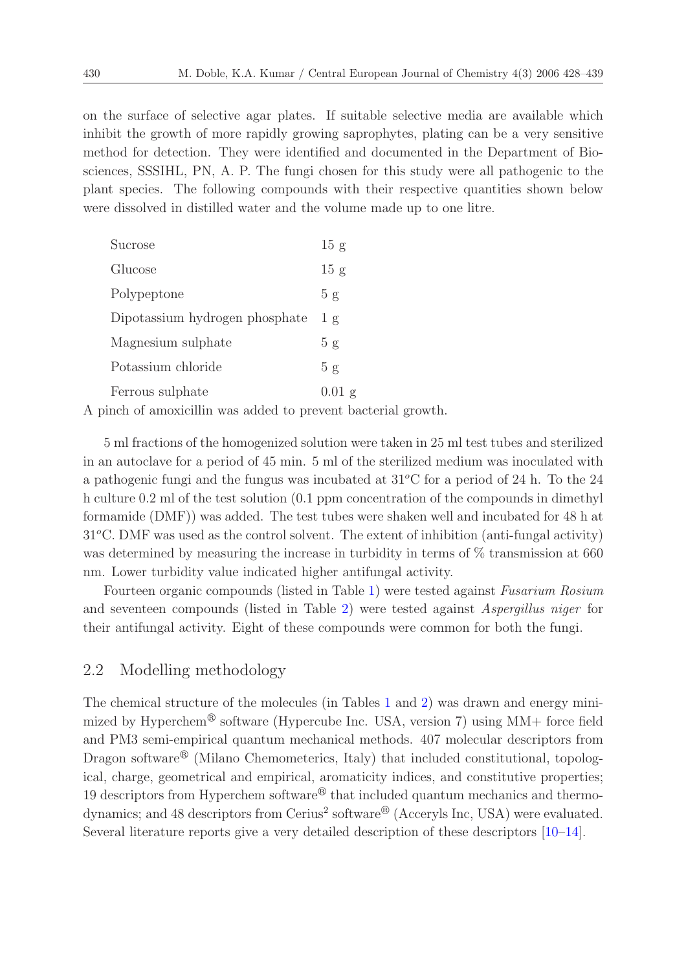on the surface of selective agar plates. If suitable selective media are available which inhibit the growth of more rapidly growing saprophytes, plating can be a very sensitive method for detection. They were identified and documented in the Department of Biosciences, SSSIHL, PN, A. P. The fungi chosen for this study were all pathogenic to the plant species. The following compounds with their respective quantities shown below were dissolved in distilled water and the volume made up to one litre.

| Sucrose                        | 15 g          |
|--------------------------------|---------------|
| Glucose                        | 15 g          |
| Polypeptone                    | 5g            |
| Dipotassium hydrogen phosphate | $1 \text{ g}$ |
| Magnesium sulphate             | 5g            |
| Potassium chloride             | 5g            |
| Ferrous sulphate               | $0.01$ g      |

A pinch of amoxicillin was added to prevent bacterial growth.

5 ml fractions of the homogenized solution were taken in 25 ml test tubes and sterilized in an autoclave for a period of 45 min. 5 ml of the sterilized medium was inoculated with a pathogenic fungi and the fungus was incubated at  $31^{\circ}$ C for a period of 24 h. To the 24 h culture 0.2 ml of the test solution (0.1 ppm concentration of the compounds in dimethyl formamide (DMF)) was added. The test tubes were shaken well and incubated for 48 h at  $31^{\circ}$ C. DMF was used as the control solvent. The extent of inhibition (anti-fungal activity) was determined by measuring the increase in turbidity in terms of  $\%$  transmission at 660 nm. Lower turbidity value indicated higher antifungal activity.

Fourteen organic compounds (listed in Table [1\)](#page-3-0) were tested against Fusarium Rosium and seventeen compounds (listed in Table [2\)](#page-3-1) were tested against Aspergillus niger for their antifungal activity. Eight of these compounds were common for both the fungi.

# 2.2 Modelling methodology

The chemical structure of the molecules (in Tables [1](#page-3-0) and [2\)](#page-3-1) was drawn and energy minimized by Hyperchem<sup>®</sup> software (Hypercube Inc. USA, version 7) using  $MM+$  force field and PM3 semi-empirical quantum mechanical methods. 407 molecular descriptors from Dragon software<sup>®</sup> (Milano Chemometerics, Italy) that included constitutional, topological, charge, geometrical and empirical, aromaticity indices, and constitutive properties; 19 descriptors from Hyperchem software<sup> $\mathcal{B}$ </sup> that included quantum mechanics and thermodynamics; and 48 descriptors from Cerius<sup>2</sup> software<sup>®</sup> (Acceryls Inc, USA) were evaluated. Several literature reports give a very detailed description of these descriptors [\[10](#page-11-3)[–14\]](#page-11-4).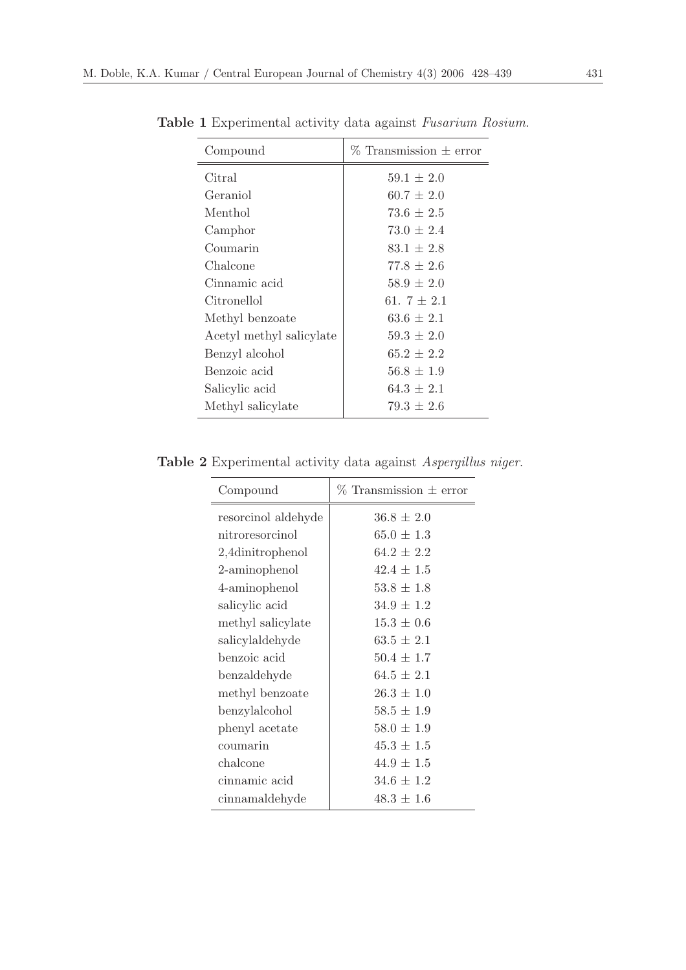| Compound                 | $\%$ Transmission $\pm$ error |
|--------------------------|-------------------------------|
| Citral                   | $59.1 \pm 2.0$                |
| Geraniol                 | $60.7 \pm 2.0$                |
| Menthol                  | $73.6 \pm 2.5$                |
| Camphor                  | $73.0 \pm 2.4$                |
| Coumarin                 | $83.1 \pm 2.8$                |
| Chalcone                 | $77.8 \pm 2.6$                |
| Cinnamic acid            | $58.9 \pm 2.0$                |
| Citronellol              | 61. $7 \pm 2.1$               |
| Methyl benzoate          | $63.6 \pm 2.1$                |
| Acetyl methyl salicylate | $59.3 \pm 2.0$                |
| Benzyl alcohol           | $65.2 \pm 2.2$                |
| Benzoic acid             | $56.8 \pm 1.9$                |
| Salicylic acid           | $64.3 \pm 2.1$                |
| Methyl salicylate        | $79.3 \pm 2.6$                |

<span id="page-3-0"></span>Table 1 Experimental activity data against Fusarium Rosium.

<span id="page-3-1"></span>Table 2 Experimental activity data against Aspergillus niger.

| $\%$ Transmission $\pm$ error<br>Compound |                |  |
|-------------------------------------------|----------------|--|
| resorcinol aldehyde                       | $36.8 \pm 2.0$ |  |
| nitroresorcinol                           | $65.0 \pm 1.3$ |  |
| 2,4dinitrophenol                          | $64.2 + 2.2$   |  |
| 2-aminophenol                             | $42.4 \pm 1.5$ |  |
| 4-aminophenol                             | $53.8 \pm 1.8$ |  |
| salicylic acid                            | $34.9 \pm 1.2$ |  |
| methyl salicylate                         | $15.3 \pm 0.6$ |  |
| salicylaldehyde                           | $63.5 \pm 2.1$ |  |
| benzoic acid                              | $50.4 \pm 1.7$ |  |
| benzaldehyde                              | $64.5 \pm 2.1$ |  |
| methyl benzoate                           | $26.3 \pm 1.0$ |  |
| benzylalcohol                             | $58.5 \pm 1.9$ |  |
| phenyl acetate                            | $58.0 \pm 1.9$ |  |
| coumarin                                  | $45.3 \pm 1.5$ |  |
| chalcone                                  | $44.9 \pm 1.5$ |  |
| cinnamic acid                             | $34.6 \pm 1.2$ |  |
| cinnamaldehyde                            | $48.3 \pm 1.6$ |  |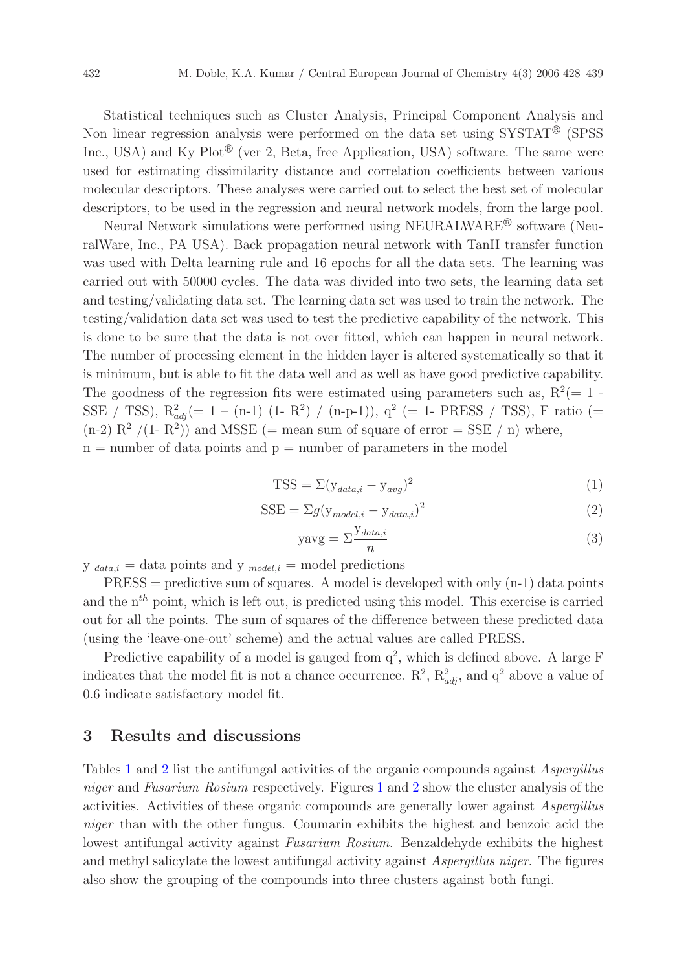Statistical techniques such as Cluster Analysis, Principal Component Analysis and Non linear regression analysis were performed on the data set using  $\text{SYSTAT}^\circledast$  (SPSS Inc., USA) and Ky Plot<sup>®</sup> (ver 2, Beta, free Application, USA) software. The same were used for estimating dissimilarity distance and correlation coefficients between various molecular descriptors. These analyses were carried out to select the best set of molecular descriptors, to be used in the regression and neural network models, from the large pool.

Neural Network simulations were performed using NEURALWARE<sup> $\textcircled{e}$ </sup> software (NeuralWare, Inc., PA USA). Back propagation neural network with TanH transfer function was used with Delta learning rule and 16 epochs for all the data sets. The learning was carried out with 50000 cycles. The data was divided into two sets, the learning data set and testing/validating data set. The learning data set was used to train the network. The testing/validation data set was used to test the predictive capability of the network. This is done to be sure that the data is not over fitted, which can happen in neural network. The number of processing element in the hidden layer is altered systematically so that it is minimum, but is able to fit the data well and as well as have good predictive capability. The goodness of the regression fits were estimated using parameters such as,  $R^2(=1 -$ SSE / TSS),  $R_{adj}^2 (= 1 - (n-1) (1 - R^2) / (n-p-1)$ ),  $q^2 (= 1 - PRESS / TSS)$ , F ratio (=  $(n-2)$   $R^2$  /(1-  $R^2$ ) and MSSE (= mean sum of square of error = SSE / n) where,  $n =$  number of data points and  $p =$  number of parameters in the model

$$
TSS = \Sigma (y_{data,i} - y_{avg})^2
$$
\n(1)

$$
SSE = \Sigma g (y_{model,i} - y_{data,i})^2
$$
 (2)

$$
y \text{avg} = \sum_{n} \frac{y_{data,i}}{n} \tag{3}
$$

 $y_{data,i} = data$  points and  $y_{model,i} = model$  predictions

 $PRESS = predictive sum of squares. A model is developed with only (n-1) data points$ and the  $n^{th}$  point, which is left out, is predicted using this model. This exercise is carried out for all the points. The sum of squares of the difference between these predicted data (using the 'leave-one-out' scheme) and the actual values are called PRESS.

Predictive capability of a model is gauged from  $q^2$ , which is defined above. A large F indicates that the model fit is not a chance occurrence.  $\mathbb{R}^2$ ,  $\mathbb{R}^2_{adj}$ , and  $\mathbb{q}^2$  above a value of 0.6 indicate satisfactory model fit.

#### 3 Results and discussions

Tables [1](#page-3-0) and [2](#page-3-1) list the antifungal activities of the organic compounds against Aspergillus niger and Fusarium Rosium respectively. Figures [1](#page-5-0) and [2](#page-5-1) show the cluster analysis of the activities. Activities of these organic compounds are generally lower against Aspergillus niger than with the other fungus. Coumarin exhibits the highest and benzoic acid the lowest antifungal activity against Fusarium Rosium. Benzaldehyde exhibits the highest and methyl salicylate the lowest antifungal activity against Aspergillus niger. The figures also show the grouping of the compounds into three clusters against both fungi.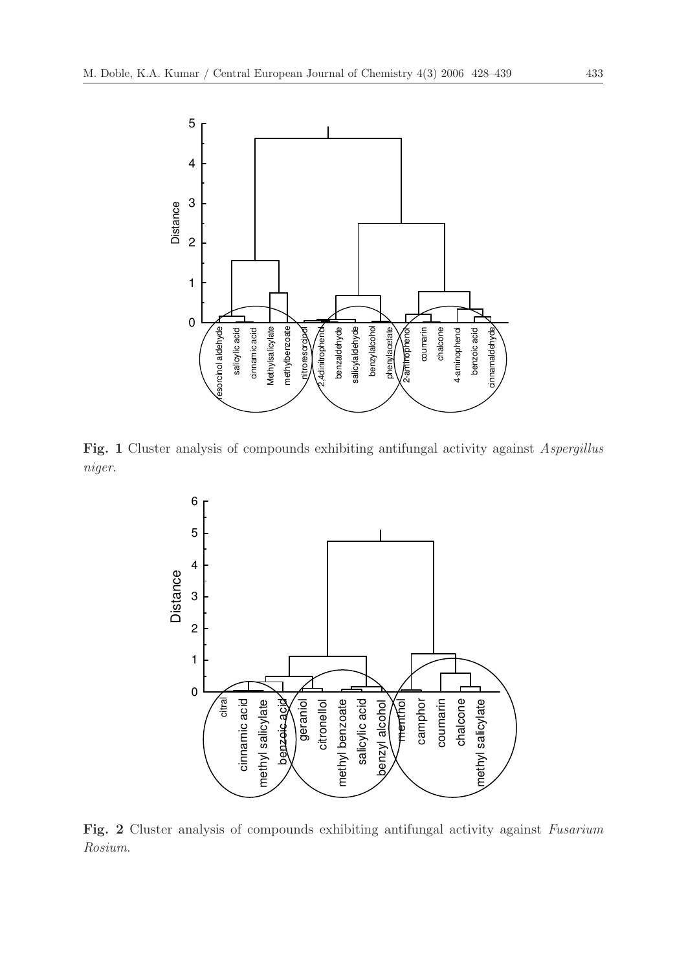<span id="page-5-0"></span>

<span id="page-5-1"></span>Fig. 1 Cluster analysis of compounds exhibiting antifungal activity against *Aspergillus* niger.



Fig. 2 Cluster analysis of compounds exhibiting antifungal activity against Fusarium Rosium.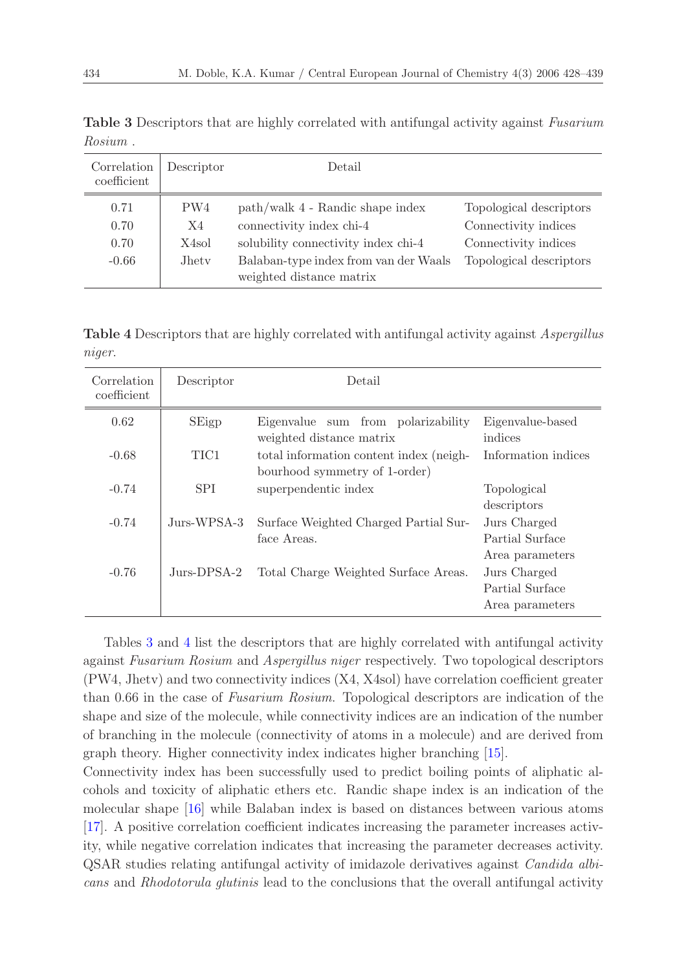| Correlation<br>coefficient      | Descriptor                                                   | Detail                                                                                                                                                                   |                                                                                                    |
|---------------------------------|--------------------------------------------------------------|--------------------------------------------------------------------------------------------------------------------------------------------------------------------------|----------------------------------------------------------------------------------------------------|
| 0.71<br>0.70<br>0.70<br>$-0.66$ | PW4<br>X4<br>X <sub>4</sub> sol<br><b>J</b> het <sub>v</sub> | path/walk 4 - Randic shape index<br>connectivity index chi-4<br>solubility connectivity index chi-4<br>Balaban-type index from van der Waals<br>weighted distance matrix | Topological descriptors<br>Connectivity indices<br>Connectivity indices<br>Topological descriptors |

<span id="page-6-0"></span>Table 3 Descriptors that are highly correlated with antifungal activity against Fusarium Rosium .

<span id="page-6-1"></span>Table 4 Descriptors that are highly correlated with antifungal activity against *Aspergillus* niger.

| Correlation<br>coefficient | Descriptor  | Detail                                                                   |                                                    |  |  |  |
|----------------------------|-------------|--------------------------------------------------------------------------|----------------------------------------------------|--|--|--|
| 0.62                       | SEigp       | Eigenvalue sum from polarizability<br>weighted distance matrix           | Eigenvalue-based<br>indices                        |  |  |  |
| $-0.68$                    | TIC1        | total information content index (neigh-<br>bourhood symmetry of 1-order) | Information indices                                |  |  |  |
| $-0.74$                    | <b>SPI</b>  | superpendentic index                                                     | Topological<br>descriptors                         |  |  |  |
| $-0.74$                    | Jurs-WPSA-3 | Surface Weighted Charged Partial Sur-<br>face Areas.                     | Jurs Charged<br>Partial Surface<br>Area parameters |  |  |  |
| $-0.76$                    | Jurs-DPSA-2 | Total Charge Weighted Surface Areas.                                     | Jurs Charged<br>Partial Surface<br>Area parameters |  |  |  |

Tables [3](#page-6-0) and [4](#page-6-1) list the descriptors that are highly correlated with antifungal activity against Fusarium Rosium and Aspergillus niger respectively. Two topological descriptors (PW4, Jhetv) and two connectivity indices (X4, X4sol) have correlation coefficient greater than 0.66 in the case of Fusarium Rosium. Topological descriptors are indication of the shape and size of the molecule, while connectivity indices are an indication of the number of branching in the molecule (connectivity of atoms in a molecule) and are derived from graph theory. Higher connectivity index indicates higher branching [\[15](#page-11-5)].

Connectivity index has been successfully used to predict boiling points of aliphatic alcohols and toxicity of aliphatic ethers etc. Randic shape index is an indication of the molecular shape [\[16\]](#page-11-6) while Balaban index is based on distances between various atoms [\[17\]](#page-11-7). A positive correlation coefficient indicates increasing the parameter increases activity, while negative correlation indicates that increasing the parameter decreases activity. QSAR studies relating antifungal activity of imidazole derivatives against Candida albicans and Rhodotorula glutinis lead to the conclusions that the overall antifungal activity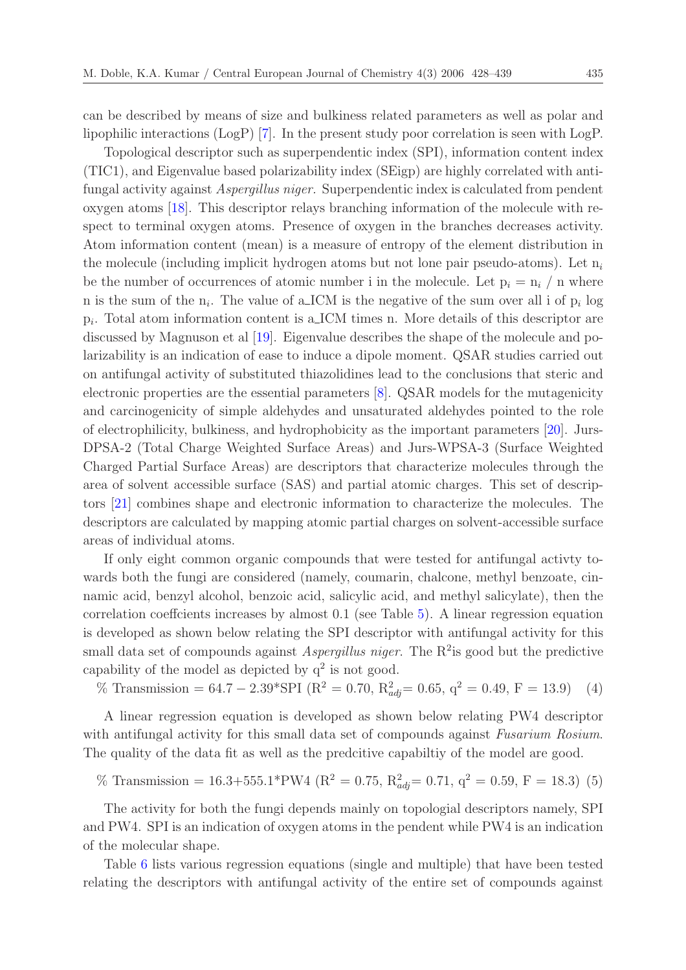can be described by means of size and bulkiness related parameters as well as polar and lipophilic interactions (LogP) [\[7\]](#page-11-0). In the present study poor correlation is seen with LogP.

Topological descriptor such as superpendentic index (SPI), information content index (TIC1), and Eigenvalue based polarizability index (SEigp) are highly correlated with antifungal activity against Aspergillus niger. Superpendentic index is calculated from pendent oxygen atoms [\[18](#page-11-8)]. This descriptor relays branching information of the molecule with respect to terminal oxygen atoms. Presence of oxygen in the branches decreases activity. Atom information content (mean) is a measure of entropy of the element distribution in the molecule (including implicit hydrogen atoms but not lone pair pseudo-atoms). Let  $n_i$ be the number of occurrences of atomic number i in the molecule. Let  $p_i = n_i / n$  where n is the sum of the  $n_i$ . The value of a ICM is the negative of the sum over all i of  $p_i$  log  $p_i$ . Total atom information content is a ICM times n. More details of this descriptor are discussed by Magnuson et al [\[19\]](#page-11-9). Eigenvalue describes the shape of the molecule and polarizability is an indication of ease to induce a dipole moment. QSAR studies carried out on antifungal activity of substituted thiazolidines lead to the conclusions that steric and electronic properties are the essential parameters [\[8](#page-11-1)]. QSAR models for the mutagenicity and carcinogenicity of simple aldehydes and unsaturated aldehydes pointed to the role of electrophilicity, bulkiness, and hydrophobicity as the important parameters [\[20](#page-11-10)]. Jurs-DPSA-2 (Total Charge Weighted Surface Areas) and Jurs-WPSA-3 (Surface Weighted Charged Partial Surface Areas) are descriptors that characterize molecules through the area of solvent accessible surface (SAS) and partial atomic charges. This set of descriptors [\[21\]](#page-11-11) combines shape and electronic information to characterize the molecules. The descriptors are calculated by mapping atomic partial charges on solvent-accessible surface areas of individual atoms.

If only eight common organic compounds that were tested for antifungal activty towards both the fungi are considered (namely, coumarin, chalcone, methyl benzoate, cinnamic acid, benzyl alcohol, benzoic acid, salicylic acid, and methyl salicylate), then the correlation coeffcients increases by almost 0.1 (see Table [5\)](#page-8-0). A linear regression equation is developed as shown below relating the SPI descriptor with antifungal activity for this small data set of compounds against *Aspergillus niger*. The  $\mathbb{R}^2$  is good but the predictive capability of the model as depicted by  $q^2$  is not good.

% Transmission = 64.7 – 2.39\*SPI ( $R^2 = 0.70$ ,  $R^2_{adj} = 0.65$ ,  $q^2 = 0.49$ ,  $F = 13.9$ ) (4)

A linear regression equation is developed as shown below relating PW4 descriptor with antifungal activity for this small data set of compounds against Fusarium Rosium. The quality of the data fit as well as the predcitive capabiltiy of the model are good.

% Transmission = 16.3+555.1\*PW4 (R<sup>2</sup> = 0.75, R<sup>2</sup> adj= 0.71, q<sup>2</sup> = 0.59, F = 18.3) (5)

The activity for both the fungi depends mainly on topologial descriptors namely, SPI and PW4. SPI is an indication of oxygen atoms in the pendent while PW4 is an indication of the molecular shape.

Table [6](#page-8-1) lists various regression equations (single and multiple) that have been tested relating the descriptors with antifungal activity of the entire set of compounds against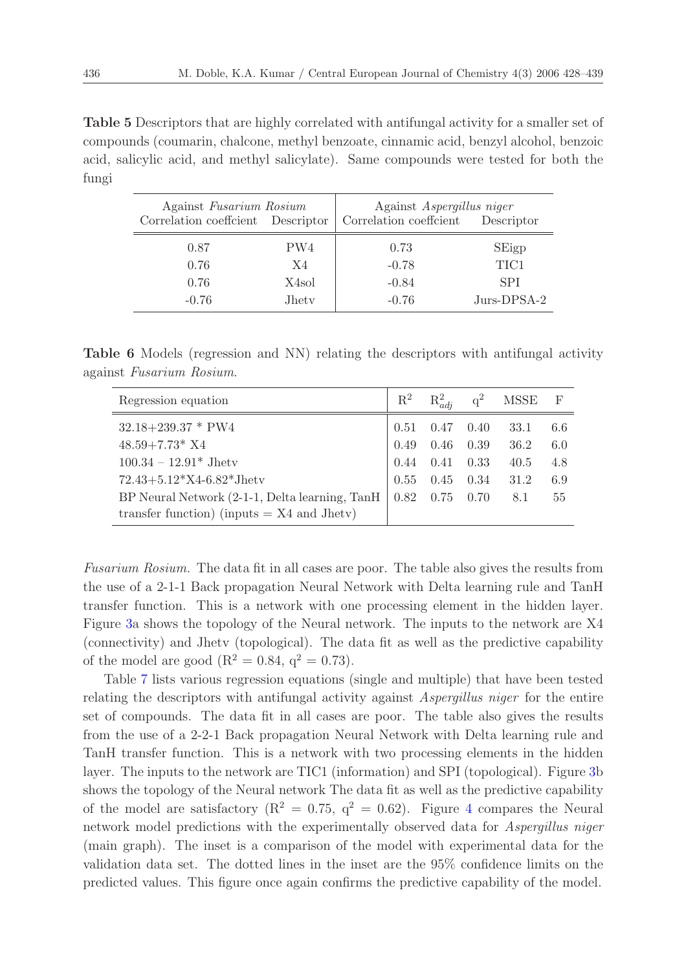<span id="page-8-0"></span>Table 5 Descriptors that are highly correlated with antifungal activity for a smaller set of compounds (coumarin, chalcone, methyl benzoate, cinnamic acid, benzyl alcohol, benzoic acid, salicylic acid, and methyl salicylate). Same compounds were tested for both the fungi

| Against Fusarium Rosium<br>Correlation coeffcient Descriptor |               | Against Aspergillus niger<br>Correlation coeffcient<br>Descriptor |             |  |  |
|--------------------------------------------------------------|---------------|-------------------------------------------------------------------|-------------|--|--|
| 0.87                                                         | PW4           | 0.73                                                              | SEigp       |  |  |
| 0.76                                                         | X4            | $-0.78$                                                           | TIC1        |  |  |
| 0.76                                                         | X4sol         | $-0.84$                                                           | <b>SPI</b>  |  |  |
| $-0.76$                                                      | <b>J</b> hety | $-0.76$                                                           | Jurs-DPSA-2 |  |  |

<span id="page-8-1"></span>Table 6 Models (regression and NN) relating the descriptors with antifungal activity against Fusarium Rosium.

| Regression equation                            | $\mathrm{R}^2$ | $R^2_{adj}$          | $q^2$ MSSE | $\Gamma$ |
|------------------------------------------------|----------------|----------------------|------------|----------|
| $32.18 + 239.37 * PW4$                         |                | $0.51$ $0.47$ $0.40$ | 33.1       | 6.6      |
| $48.59 + 7.73*$ X4                             |                | $0.49$ $0.46$ $0.39$ | 36.2       | 6.0      |
| $100.34 - 12.91*$ Jhetv                        |                | $0.44$ $0.41$ $0.33$ | 40.5       | 4.8      |
| $72.43 + 5.12*X4 - 6.82*Jhetv$                 |                | $0.55$ $0.45$ $0.34$ | 31.2       | 6.9      |
| BP Neural Network (2-1-1, Delta learning, TanH |                | $0.82$ $0.75$ $0.70$ | 8.1        | 55       |
| transfer function) (inputs $= X4$ and Jhetv)   |                |                      |            |          |

Fusarium Rosium. The data fit in all cases are poor. The table also gives the results from the use of a 2-1-1 Back propagation Neural Network with Delta learning rule and TanH transfer function. This is a network with one processing element in the hidden layer. Figure [3a](#page-9-0) shows the topology of the Neural network. The inputs to the network are X4 (connectivity) and Jhetv (topological). The data fit as well as the predictive capability of the model are good ( $R^2 = 0.84$ ,  $q^2 = 0.73$ ).

Table [7](#page-10-6) lists various regression equations (single and multiple) that have been tested relating the descriptors with antifungal activity against Aspergillus niger for the entire set of compounds. The data fit in all cases are poor. The table also gives the results from the use of a 2-2-1 Back propagation Neural Network with Delta learning rule and TanH transfer function. This is a network with two processing elements in the hidden layer. The inputs to the network are TIC1 (information) and SPI (topological). Figure [3b](#page-9-0) shows the topology of the Neural network The data fit as well as the predictive capability of the model are satisfactory ( $R^2 = 0.75$ ,  $q^2 = 0.62$ ). Figure [4](#page-9-1) compares the Neural network model predictions with the experimentally observed data for *Aspergillus niger* (main graph). The inset is a comparison of the model with experimental data for the validation data set. The dotted lines in the inset are the 95% confidence limits on the predicted values. This figure once again confirms the predictive capability of the model.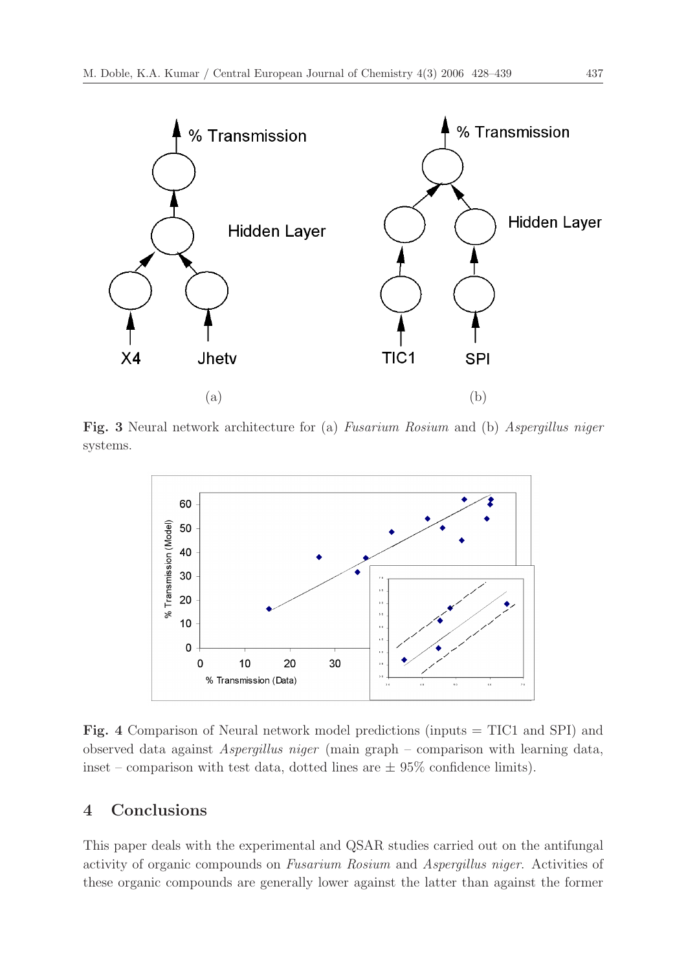<span id="page-9-0"></span>

<span id="page-9-1"></span>Fig. 3 Neural network architecture for (a) Fusarium Rosium and (b) Aspergillus niger systems.



Fig. 4 Comparison of Neural network model predictions (inputs = TIC1 and SPI) and observed data against Aspergillus niger (main graph – comparison with learning data, inset – comparison with test data, dotted lines are  $\pm$  95% confidence limits).

# 4 Conclusions

This paper deals with the experimental and QSAR studies carried out on the antifungal activity of organic compounds on Fusarium Rosium and Aspergillus niger. Activities of these organic compounds are generally lower against the latter than against the former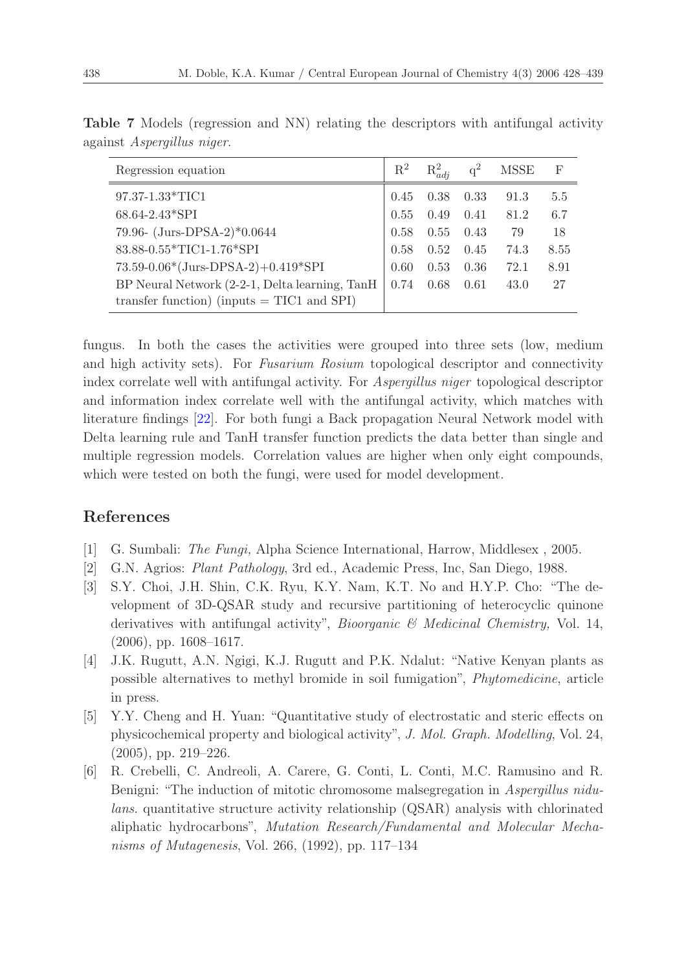| Regression equation                                                                            | $\mathrm{R}^2$ | $R_{adj}^2$  |              | <b>MSSE</b>  | F          |
|------------------------------------------------------------------------------------------------|----------------|--------------|--------------|--------------|------------|
| 97.37-1.33*TIC1<br>68.64-2.43*SPI                                                              | 0.45<br>0.55   | 0.38<br>0.49 | 0.33<br>0.41 | 91.3<br>81.2 | 5.5<br>6.7 |
| 79.96- (Jurs-DPSA-2)*0.0644                                                                    | 0.58           | 0.55         | 0.43         | 79           | 18         |
| 83.88-0.55*TIC1-1.76*SPI                                                                       | 0.58           | 0.52         | 0.45         | 74.3         | 8.55       |
| $73.59 - 0.06*(Jurs-DPSA-2) + 0.419*SPI$                                                       | 0.60           | 0.53         | 0.36         | 72.1         | 8.91       |
| BP Neural Network (2-2-1, Delta learning, TanH<br>transfer function) (inputs $= TIC1$ and SPI) | 0.74           | 0.68         | 0.61         | 43.0         | 27         |

<span id="page-10-6"></span>Table 7 Models (regression and NN) relating the descriptors with antifungal activity against Aspergillus niger.

fungus. In both the cases the activities were grouped into three sets (low, medium and high activity sets). For Fusarium Rosium topological descriptor and connectivity index correlate well with antifungal activity. For Aspergillus niger topological descriptor and information index correlate well with the antifungal activity, which matches with literature findings [\[22\]](#page-11-12). For both fungi a Back propagation Neural Network model with Delta learning rule and TanH transfer function predicts the data better than single and multiple regression models. Correlation values are higher when only eight compounds, which were tested on both the fungi, were used for model development.

## References

- <span id="page-10-0"></span>[1] G. Sumbali: The Fungi, Alpha Science International, Harrow, Middlesex , 2005.
- <span id="page-10-1"></span>[2] G.N. Agrios: Plant Pathology, 3rd ed., Academic Press, Inc, San Diego, 1988.
- <span id="page-10-2"></span>[3] S.Y. Choi, J.H. Shin, C.K. Ryu, K.Y. Nam, K.T. No and H.Y.P. Cho: "The development of 3D-QSAR study and recursive partitioning of heterocyclic quinone derivatives with antifungal activity", Bioorganic & Medicinal Chemistry, Vol. 14, (2006), pp. 1608–1617.
- <span id="page-10-3"></span>[4] J.K. Rugutt, A.N. Ngigi, K.J. Rugutt and P.K. Ndalut: "Native Kenyan plants as possible alternatives to methyl bromide in soil fumigation", Phytomedicine, article in press.
- <span id="page-10-4"></span>[5] Y.Y. Cheng and H. Yuan: "Quantitative study of electrostatic and steric effects on physicochemical property and biological activity", J. Mol. Graph. Modelling, Vol. 24, (2005), pp. 219–226.
- <span id="page-10-5"></span>[6] R. Crebelli, C. Andreoli, A. Carere, G. Conti, L. Conti, M.C. Ramusino and R. Benigni: "The induction of mitotic chromosome malsegregation in Aspergillus nidulans. quantitative structure activity relationship (QSAR) analysis with chlorinated aliphatic hydrocarbons", Mutation Research/Fundamental and Molecular Mechanisms of Mutagenesis, Vol. 266, (1992), pp. 117–134